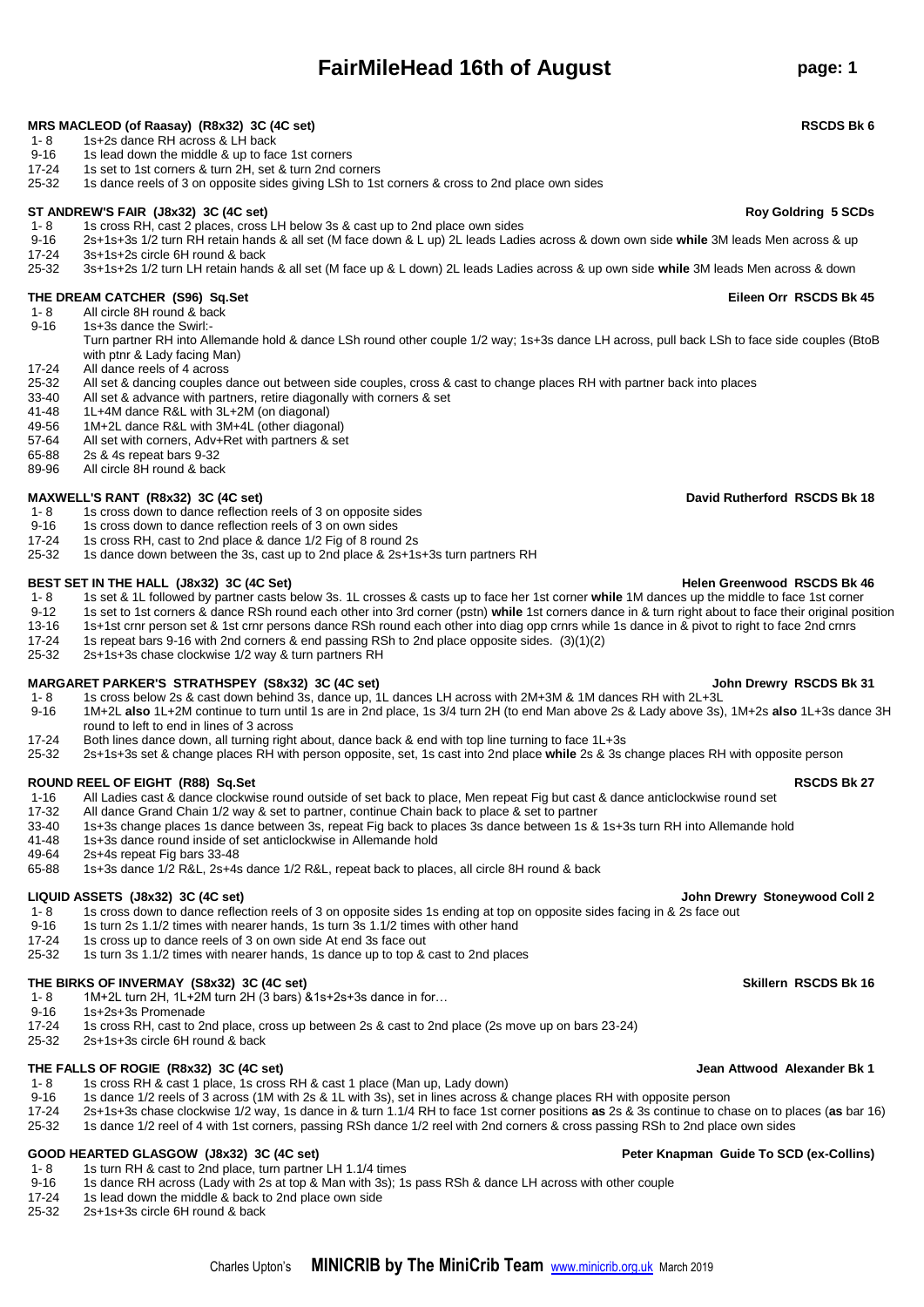## **FairMileHead 16th of August page: 1**

**MRS MACLEOD (of Raasay) (R8x32) 3C (4C set) RSCDS Bk 6**

- 1- 8 1s+2s dance RH across & LH back
- 9-16 1s lead down the middle & up to face 1st corners
- 17-24 1s set to 1st corners & turn 2H, set & turn 2nd corners<br>25-32 1s dance reels of 3 on opposite sides giving LSh to 1s
- 25-32 1s dance reels of 3 on opposite sides giving LSh to 1st corners & cross to 2nd place own sides

### **ST ANDREW'S FAIR (J8x32) 3C (4C set) Roy Goldring 5 SCDs**

- 1- 8 1s cross RH, cast 2 places, cross LH below 3s & cast up to 2nd place own sides<br>9-16 2s+1s+3s 1/2 turn RH retain hands & all set (M face down & L up) 2L leads Ladie
- 9-16 2s+1s+3s 1/2 turn RH retain hands & all set (M face down & L up) 2L leads Ladies across & down own side **while** 3M leads Men across & up 17-24 3s+1s+2s circle 6H round & back
- 
- 25-32 3s+1s+2s 1/2 turn LH retain hands & all set (M face up & L down) 2L leads Ladies across & up own side **while** 3M leads Men across & down

### **THE DREAM CATCHER (S96) Sq.Set Eileen Orr RSCDS Bk 45**

- 1- 8 All circle 8H round & back
- 9-16 1s+3s dance the Swirl:-
	- Turn partner RH into Allemande hold & dance LSh round other couple 1/2 way; 1s+3s dance LH across, pull back LSh to face side couples (BtoB with ptnr & Lady facing Man)
- 17-24 All dance reels of 4 across<br>25-32 All set & dancing couples d
- 25-32 All set & dancing couples dance out between side couples, cross & cast to change places RH with partner back into places<br>33-40 All set & advance with partners, retire diagonally with corners & set
- All set & advance with partners, retire diagonally with corners & set
- 41-48 1L+4M dance R&L with 3L+2M (on diagonal)
- 49-56 1M+2L dance R&L with 3M+4L (other diagonal)
- All set with corners, Adv+Ret with partners & set
- 65-88 2s & 4s repeat bars 9-32
- 89-96 All circle 8H round & back

### **MAXWELL'S RANT (R8x32) 3C (4C set) David Rutherford RSCDS Bk 18**

- 1- 8 1s cross down to dance reflection reels of 3 on opposite sides
- 9-16 1s cross down to dance reflection reels of 3 on own sides<br>17-24 1s cross RH, cast to 2nd place & dance 1/2 Fig of 8 round
- 17-24 1s cross RH, cast to 2nd place & dance 1/2 Fig of 8 round 2s<br>25-32 1s dance down between the 3s, cast up to 2nd place & 2s+1s
- 25-32 1s dance down between the 3s, cast up to 2nd place & 2s+1s+3s turn partners RH

### **BEST SET IN THE HALL (J8x32) 3C (4C Set) Helen Greenwood RSCDS Bk 46**

- 1- 8 1s set & 1L followed by partner casts below 3s. 1L crosses & casts up to face her 1st corner while 1M dances up the middle to face 1st corner<br>9-12 1s set to 1st corners & dance RSb round each other into 3rd corner (ps
- 9-12 1s set to 1st corners & dance RSh round each other into 3rd corner (pstn) **while** 1st corners dance in & turn right about to face their original position
- 13-16 1s+1st crnr person set & 1st crnr persons dance RSh round each other into diag opp crnrs while 1s dance in & pivot to right to face 2nd crnrs 17-24 1s repeat bars 9-16 with 2nd corners & end passing RSh to 2nd place
- 17-24 1s repeat bars 9-16 with 2nd corners & end passing RSh to 2nd place opposite sides. (3)(1)(2)<br>25-32 2s+1s+3s chase clockwise 1/2 way & turn partners RH
- 2s+1s+3s chase clockwise 1/2 way & turn partners RH

### **MARGARET PARKER'S STRATHSPEY (S8x32) 3C (4C set) John Drewry RSCDS Bk 31**

- 1- 8 1s cross below 2s & cast down behind 3s, dance up, 1L dances LH across with 2M+3M & 1M dances RH with 2L+3L<br>9-16 1M+2L also 1L+2M continue to turn until 1s are in 2nd place. 1s 3/4 turn 2H (to end Man above 2s & Lady 9-16 1M+2L **also** 1L+2M continue to turn until 1s are in 2nd place, 1s 3/4 turn 2H (to end Man above 2s & Lady above 3s), 1M+2s **also** 1L+3s dance 3H
- round to left to end in lines of 3 across
- 17-24 Both lines dance down, all turning right about, dance back & end with top line turning to face 1L+3s<br>25-32 25+1s+3s set & change places RH with person opposite, set, 1s cast into 2nd place while 2s & 3s 25-32 2s+1s+3s set & change places RH with person opposite, set, 1s cast into 2nd place **while** 2s & 3s change places RH with opposite person

### **ROUND REEL OF EIGHT (R88) Sq.Set RSCDS Bk 27**

- 1-16 All Ladies cast & dance clockwise round outside of set back to place, Men repeat Fig but cast & dance anticlockwise round set 17-32 All dance Grand Chain 1/2 way & set to partner. continue Chain back to place & set to
- All dance Grand Chain 1/2 way & set to partner, continue Chain back to place & set to partner
- 33-40 1s+3s change places 1s dance between 3s, repeat Fig back to places 3s dance between 1s & 1s+3s turn RH into Allemande hold
- 1s+3s dance round inside of set anticlockwise in Allemande hold
- 49-64 2s+4s repeat Fig bars 33-48<br>65-88 1s+3s dance 1/2 R&L 2s+4s
- 65-88 1s+3s dance 1/2 R&L, 2s+4s dance 1/2 R&L, repeat back to places, all circle 8H round & back

### **LIQUID ASSETS (J8x32) 3C (4C set) John Drewry Stoneywood Coll 2**

- 1- 8 1s cross down to dance reflection reels of 3 on opposite sides 1s ending at top on opposite sides facing in & 2s face out<br>9-16 1s turn 2s 1 1/2 times with nearer bands 1s turn 3s 1 1/2 times with other hand
- 9-16 1s turn 2s 1.1/2 times with nearer hands, 1s turn  $3s$  1.1/2 times with other hand 17-24 1s cross up to dance reels of 3 on own side At end 3s face out
- 1s cross up to dance reels of 3 on own side At end 3s face out
- 25-32 1s turn 3s 1.1/2 times with nearer hands, 1s dance up to top & cast to 2nd places

### **THE BIRKS OF INVERMAY (S8x32) 3C (4C set) Skillern RSCDS Bk 16**

- 1- 8  $1M+2L$  turn 2H, 1L+2M turn 2H (3 bars)  $&81s+2s+3s$  dance in for...<br>9-16  $1s+2s+3s$  Promenade
- 9-16  $1s+2s+3s$  Promenade<br>17-24  $1s$  cross RH cast to 2
- 17-24 1s cross RH, cast to 2nd place, cross up between 2s & cast to 2nd place (2s move up on bars 23-24)
- 25-32 2s+1s+3s circle 6H round & back

### **THE FALLS OF ROGIE (R8x32) 3C (4C set) Jean Attwood Alexander Bk 1**

- 1- 8 1s cross RH & cast 1 place, 1s cross RH & cast 1 place (Man up, Lady down)<br>9-16 1s dance 1/2 reels of 3 across (1M with 2s & 1L with 3s), set in lines across &
- 9-16 1s dance 1/2 reels of 3 across (1M with 2s & 1L with 3s), set in lines across & change places RH with opposite person<br>17-24 2s+1s+3s chase clockwise 1/2 way, 1s dance in & turn 1.1/4 RH to face 1st corner positions as
- 17-24 2s+1s+3s chase clockwise 1/2 way, 1s dance in & turn 1.1/4 RH to face 1st corner positions **as** 2s & 3s continue to chase on to places (**as** bar 16)
- 25-32 1s dance 1/2 reel of 4 with 1st corners, passing RSh dance 1/2 reel with 2nd corners & cross passing RSh to 2nd place own sides

### **GOOD HEARTED GLASGOW (J8x32) 3C (4C set) Peter Knapman Guide To SCD (ex-Collins)**

- 1- 8 1s turn RH & cast to 2nd place, turn partner LH 1.1/4 times<br>9-16 1s dance RH across (Lady with 2s at top & Man with 3s): 1s
- 9-16 1s dance RH across (Lady with 2s at top & Man with 3s); 1s pass RSh & dance LH across with other couple<br>17-24 1s lead down the middle & back to 2nd place own side
- 17-24 1s lead down the middle & back to 2nd place own side<br>25-32 2s+1s+3s circle 6H round & back
- 25-32 2s+1s+3s circle 6H round & back